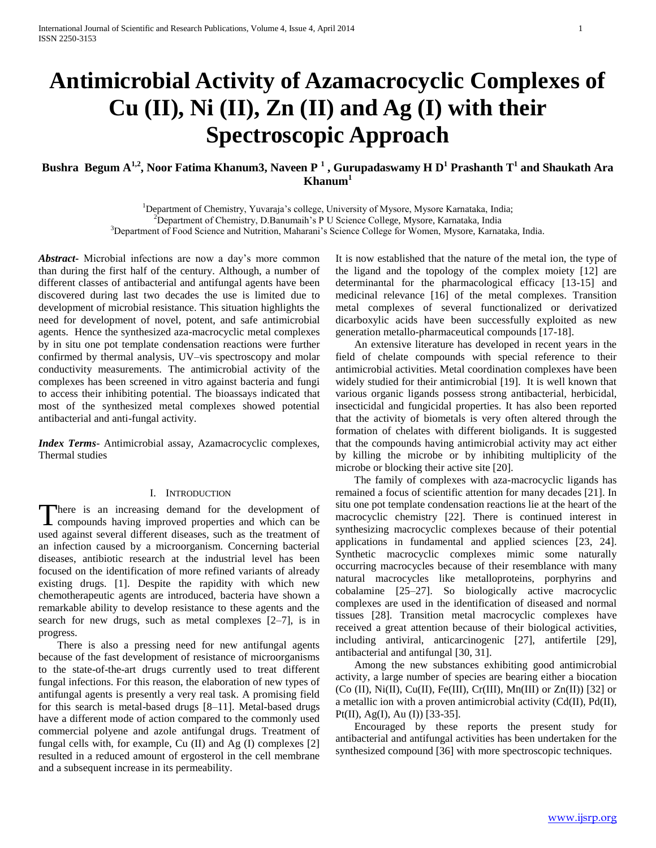# **Antimicrobial Activity of Azamacrocyclic Complexes of Cu (II), Ni (II), Zn (II) and Ag (I) with their Spectroscopic Approach**

# **Bushra Begum A1,2, Noor Fatima Khanum3, Naveen P <sup>1</sup> , Gurupadaswamy H D<sup>1</sup> Prashanth T<sup>1</sup> and Shaukath Ara Khanum<sup>1</sup>**

<sup>1</sup>Department of Chemistry, Yuvaraja's college, University of Mysore, Mysore Karnataka, India; <sup>2</sup>Department of Chemistry, D.Banumaih's P U Science College, Mysore, Karnataka, India <sup>3</sup>Department of Food Science and Nutrition, Maharani's Science College for Women, Mysore, Karnataka, India.

*Abstract***-** Microbial infections are now a day's more common than during the first half of the century. Although, a number of different classes of antibacterial and antifungal agents have been discovered during last two decades the use is limited due to development of microbial resistance. This situation highlights the need for development of novel, potent, and safe antimicrobial agents. Hence the synthesized aza-macrocyclic metal complexes by in situ one pot template condensation reactions were further confirmed by thermal analysis, UV–vis spectroscopy and molar conductivity measurements. The antimicrobial activity of the complexes has been screened in vitro against bacteria and fungi to access their inhibiting potential. The bioassays indicated that most of the synthesized metal complexes showed potential antibacterial and anti-fungal activity.

*Index Terms*- Antimicrobial assay, Azamacrocyclic complexes, Thermal studies

#### I. INTRODUCTION

here is an increasing demand for the development of There is an increasing demand for the development of<br>compounds having improved properties and which can be used against several different diseases, such as the treatment of an infection caused by a microorganism. Concerning bacterial diseases, antibiotic research at the industrial level has been focused on the identification of more refined variants of already existing drugs. [1]. Despite the rapidity with which new chemotherapeutic agents are introduced, bacteria have shown a remarkable ability to develop resistance to these agents and the search for new drugs, such as metal complexes [2–7], is in progress.

 There is also a pressing need for new antifungal agents because of the fast development of resistance of microorganisms to the state-of-the-art drugs currently used to treat different fungal infections. For this reason, the elaboration of new types of antifungal agents is presently a very real task. A promising field for this search is metal-based drugs [8–11]. Metal-based drugs have a different mode of action compared to the commonly used commercial polyene and azole antifungal drugs. Treatment of fungal cells with, for example, Cu (II) and Ag (I) complexes [2] resulted in a reduced amount of ergosterol in the cell membrane and a subsequent increase in its permeability.

It is now established that the nature of the metal ion, the type of the ligand and the topology of the complex moiety [12] are determinantal for the pharmacological efficacy [13-15] and medicinal relevance [16] of the metal complexes. Transition metal complexes of several functionalized or derivatized dicarboxylic acids have been successfully exploited as new generation metallo-pharmaceutical compounds [17-18].

 An extensive literature has developed in recent years in the field of chelate compounds with special reference to their antimicrobial activities. Metal coordination complexes have been widely studied for their antimicrobial [19]. It is well known that various organic ligands possess strong antibacterial, herbicidal, insecticidal and fungicidal properties. It has also been reported that the activity of biometals is very often altered through the formation of chelates with different bioligands. It is suggested that the compounds having antimicrobial activity may act either by killing the microbe or by inhibiting multiplicity of the microbe or blocking their active site [20].

 The family of complexes with aza-macrocyclic ligands has remained a focus of scientific attention for many decades [21]. In situ one pot template condensation reactions lie at the heart of the macrocyclic chemistry [22]. There is continued interest in synthesizing macrocyclic complexes because of their potential applications in fundamental and applied sciences [23, 24]. Synthetic macrocyclic complexes mimic some naturally occurring macrocycles because of their resemblance with many natural macrocycles like metalloproteins, porphyrins and cobalamine [25–27]. So biologically active macrocyclic complexes are used in the identification of diseased and normal tissues [28]. Transition metal macrocyclic complexes have received a great attention because of their biological activities, including antiviral, anticarcinogenic [27], antifertile [29], antibacterial and antifungal [30, 31].

 Among the new substances exhibiting good antimicrobial activity, a large number of species are bearing either a biocation  $(Co (II), Ni(II), Cu(II), Fe(III), Cr(III), Mn(III)$  or  $Zn(II)$  [32] or a metallic ion with a proven antimicrobial activity (Cd(II), Pd(II), Pt(II), Ag(I), Au (I)) [33-35].

 Encouraged by these reports the present study for antibacterial and antifungal activities has been undertaken for the synthesized compound [36] with more spectroscopic techniques.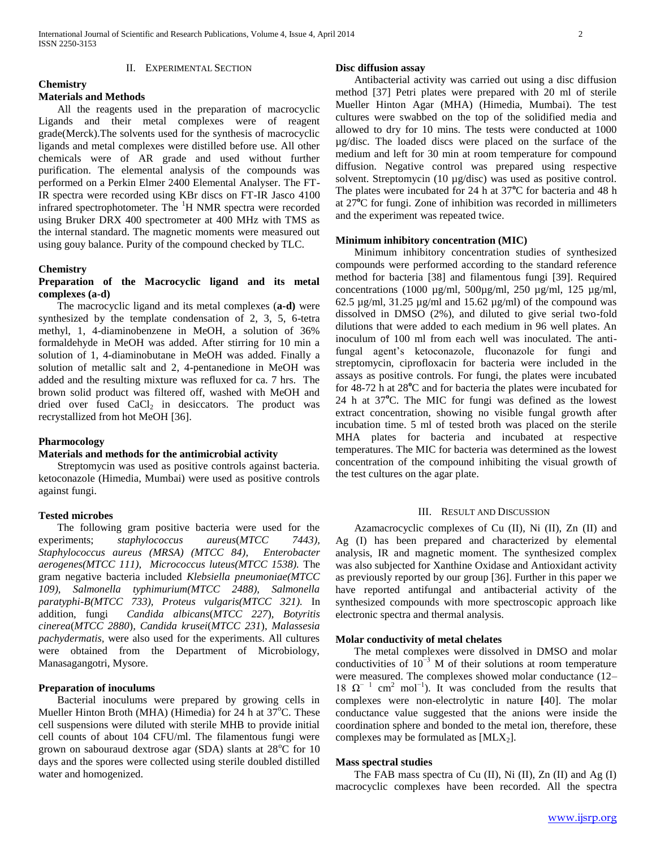## II. EXPERIMENTAL SECTION

#### **Chemistry Materials and Methods**

 All the reagents used in the preparation of macrocyclic Ligands and their metal complexes were of reagent grade(Merck).The solvents used for the synthesis of macrocyclic ligands and metal complexes were distilled before use. All other chemicals were of AR grade and used without further purification. The elemental analysis of the compounds was performed on a Perkin Elmer 2400 Elemental Analyser. The FT-IR spectra were recorded using KBr discs on FT-IR Jasco 4100 infrared spectrophotometer. The <sup>1</sup>H NMR spectra were recorded using Bruker DRX 400 spectrometer at 400 MHz with TMS as the internal standard. The magnetic moments were measured out using gouy balance. Purity of the compound checked by TLC.

## **Chemistry**

# **Preparation of the Macrocyclic ligand and its metal complexes (a-d)**

 The macrocyclic ligand and its metal complexes (**a-d)** were synthesized by the template condensation of 2, 3, 5, 6-tetra methyl, 1, 4-diaminobenzene in MeOH, a solution of 36% formaldehyde in MeOH was added. After stirring for 10 min a solution of 1, 4-diaminobutane in MeOH was added. Finally a solution of metallic salt and 2, 4-pentanedione in MeOH was added and the resulting mixture was refluxed for ca. 7 hrs. The brown solid product was filtered off, washed with MeOH and dried over fused  $CaCl<sub>2</sub>$  in desiccators. The product was recrystallized from hot MeOH [36].

### **Pharmocology**

#### **Materials and methods for the antimicrobial activity**

 Streptomycin was used as positive controls against bacteria. ketoconazole (Himedia, Mumbai) were used as positive controls against fungi.

## **Tested microbes**

 The following gram positive bacteria were used for the experiments; *staphylococcus aureus*(*MTCC 7443), Staphylococcus aureus (MRSA) (MTCC 84), Enterobacter aerogenes(MTCC 111), Micrococcus luteus(MTCC 1538).* The gram negative bacteria included *Klebsiella pneumoniae(MTCC 109), Salmonella typhimurium(MTCC 2488), Salmonella paratyphi-B(MTCC 733), Proteus vulgaris(MTCC 321).* In addition, fungi *Candida albicans*(*MTCC 227*)*, Botyritis cinerea*(*MTCC 2880*)*, Candida krusei*(*MTCC 231*)*, Malassesia pachydermatis,* were also used for the experiments. All cultures were obtained from the Department of Microbiology, Manasagangotri, Mysore.

# **Preparation of inoculums**

 Bacterial inoculums were prepared by growing cells in Mueller Hinton Broth (MHA) (Himedia) for 24 h at  $37^{\circ}$ C. These cell suspensions were diluted with sterile MHB to provide initial cell counts of about 104 CFU/ml. The filamentous fungi were grown on sabouraud dextrose agar (SDA) slants at  $28^{\circ}$ C for 10 days and the spores were collected using sterile doubled distilled water and homogenized.

## **Disc diffusion assay**

 Antibacterial activity was carried out using a disc diffusion method [37] Petri plates were prepared with 20 ml of sterile Mueller Hinton Agar (MHA) (Himedia, Mumbai). The test cultures were swabbed on the top of the solidified media and allowed to dry for 10 mins. The tests were conducted at 1000 µg/disc. The loaded discs were placed on the surface of the medium and left for 30 min at room temperature for compound diffusion. Negative control was prepared using respective solvent. Streptomycin (10 µg/disc) was used as positive control. The plates were incubated for 24 h at 37<sup>o</sup>C for bacteria and 48 h at 27**<sup>o</sup>**C for fungi. Zone of inhibition was recorded in millimeters and the experiment was repeated twice.

## **Minimum inhibitory concentration (MIC)**

 Minimum inhibitory concentration studies of synthesized compounds were performed according to the standard reference method for bacteria [38] and filamentous fungi [39]. Required concentrations (1000 µg/ml, 500µg/ml, 250 µg/ml, 125 µg/ml, 62.5  $\mu$ g/ml, 31.25  $\mu$ g/ml and 15.62  $\mu$ g/ml) of the compound was dissolved in DMSO (2%), and diluted to give serial two-fold dilutions that were added to each medium in 96 well plates. An inoculum of 100 ml from each well was inoculated. The antifungal agent's ketoconazole, fluconazole for fungi and streptomycin, ciprofloxacin for bacteria were included in the assays as positive controls. For fungi, the plates were incubated for 48-72 h at 28<sup>°</sup>C and for bacteria the plates were incubated for 24 h at 37**<sup>o</sup>**C. The MIC for fungi was defined as the lowest extract concentration, showing no visible fungal growth after incubation time. 5 ml of tested broth was placed on the sterile MHA plates for bacteria and incubated at respective temperatures. The MIC for bacteria was determined as the lowest concentration of the compound inhibiting the visual growth of the test cultures on the agar plate.

## III. RESULT AND DISCUSSION

 Azamacrocyclic complexes of Cu (II), Ni (II), Zn (II) and Ag (I) has been prepared and characterized by elemental analysis, IR and magnetic moment. The synthesized complex was also subjected for Xanthine Oxidase and Antioxidant activity as previously reported by our group [36]. Further in this paper we have reported antifungal and antibacterial activity of the synthesized compounds with more spectroscopic approach like electronic spectra and thermal analysis.

#### **Molar conductivity of metal chelates**

 The metal complexes were dissolved in DMSO and molar conductivities of  $10^{-3}$  M of their solutions at room temperature were measured. The complexes showed molar conductance (12– 18  $\Omega$ <sup>-1</sup> cm<sup>2</sup> mol<sup>-1</sup>). It was concluded from the results that complexes were non-electrolytic in nature **[**40]. The molar conductance value suggested that the anions were inside the coordination sphere and bonded to the metal ion, therefore, these complexes may be formulated as  $[MLX_2]$ .

## **Mass spectral studies**

 The FAB mass spectra of Cu (II), Ni (II), Zn (II) and Ag (I) macrocyclic complexes have been recorded. All the spectra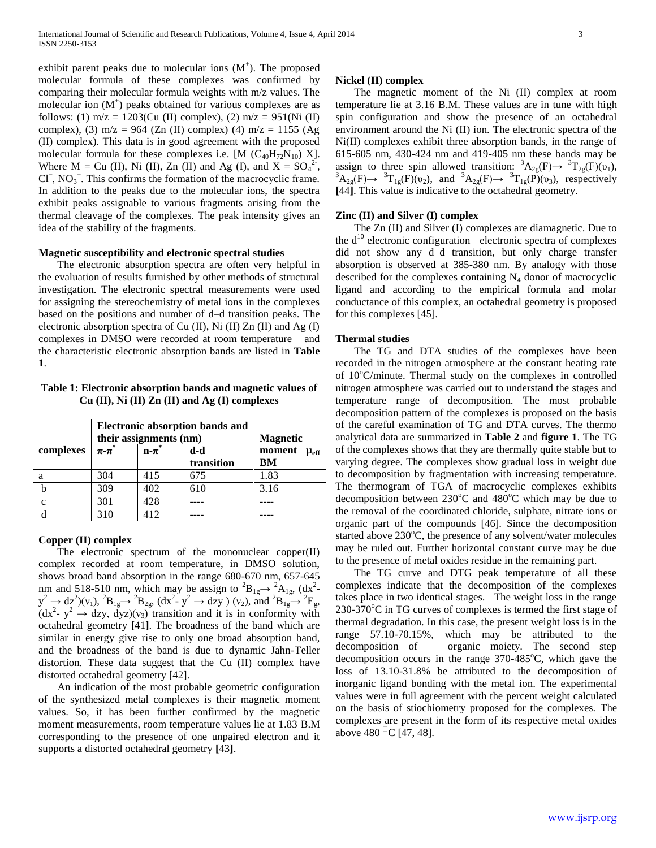exhibit parent peaks due to molecular ions  $(M<sup>+</sup>)$ . The proposed molecular formula of these complexes was confirmed by comparing their molecular formula weights with m/z values. The molecular ion  $(M<sup>+</sup>)$  peaks obtained for various complexes are as follows: (1)  $m/z = 1203$ (Cu (II) complex), (2)  $m/z = 951$ (Ni (II) complex), (3) m/z = 964 (Zn (II) complex) (4) m/z = 1155 (Ag (II) complex). This data is in good agreement with the proposed molecular formula for these complexes i.e. [M  $(C_{40}H_{72}N_{10})$  X]. Where  $M = Cu$  (II), Ni (II), Zn (II) and Ag (I), and  $X = SO<sub>4</sub><sup>2</sup>$ , Cl<sup>−</sup>, NO<sub>3</sub><sup>−</sup>. This confirms the formation of the macrocyclic frame. In addition to the peaks due to the molecular ions, the spectra exhibit peaks assignable to various fragments arising from the thermal cleavage of the complexes. The peak intensity gives an idea of the stability of the fragments.

#### **Magnetic susceptibility and electronic spectral studies**

 The electronic absorption spectra are often very helpful in the evaluation of results furnished by other methods of structural investigation. The electronic spectral measurements were used for assigning the stereochemistry of metal ions in the complexes based on the positions and number of d–d transition peaks. The electronic absorption spectra of Cu (II), Ni (II) Zn (II) and Ag (I) complexes in DMSO were recorded at room temperature and the characteristic electronic absorption bands are listed in **Table 1**.

**Table 1: Electronic absorption bands and magnetic values of Cu (II), Ni (II) Zn (II) and Ag (I) complexes**

|             | Electronic absorption bands and<br>their assignments (nm) | <b>Magnetic</b> |                   |                                 |
|-------------|-----------------------------------------------------------|-----------------|-------------------|---------------------------------|
| complexes   | $\pi$ - $\pi$                                             | $n - \pi$       | d-d<br>transition | moment $\mu_{\text{eff}}$<br>BM |
| a           | 304                                                       | 415             | 675               | 1.83                            |
|             | 309                                                       | 402             | 610               | 3.16                            |
| $\mathbf c$ | 301                                                       | 428             |                   |                                 |
|             | 310                                                       | 412             |                   |                                 |

#### **Copper (II) complex**

 The electronic spectrum of the mononuclear copper(II) complex recorded at room temperature, in DMSO solution, shows broad band absorption in the range 680-670 nm, 657-645 nm and 518-510 nm, which may be assign to  ${}^{2}B_{1g} \rightarrow {}^{2}A_{1g}$ , (dx<sup>2</sup> $y^2 \rightarrow dz^2$ )(v<sub>1</sub>),  ${}^2B_{1g} \rightarrow {}^2B_{2g}$ , (dx<sup>2</sup>- y<sup>2</sup>  $\rightarrow$  dzy ) (v<sub>2</sub>), and  ${}^2B_{1g} \rightarrow {}^2E_g$ ,  $(dx^2 - y^2 \rightarrow dzy, dyz)(v_3)$  transition and it is in conformity with octahedral geometry **[**41**]**. The broadness of the band which are similar in energy give rise to only one broad absorption band, and the broadness of the band is due to dynamic Jahn-Teller distortion. These data suggest that the Cu (II) complex have distorted octahedral geometry [42].

 An indication of the most probable geometric configuration of the synthesized metal complexes is their magnetic moment values. So, it has been further confirmed by the magnetic moment measurements, room temperature values lie at 1.83 B.M corresponding to the presence of one unpaired electron and it supports a distorted octahedral geometry **[**43**]**.

#### **Nickel (II) complex**

 The magnetic moment of the Ni (II) complex at room temperature lie at 3.16 B.M. These values are in tune with high spin configuration and show the presence of an octahedral environment around the Ni (II) ion. The electronic spectra of the Ni(II) complexes exhibit three absorption bands, in the range of 615-605 nm, 430-424 nm and 419-405 nm these bands may be assign to three spin allowed transition:  ${}^{3}A_{2g}(F) \rightarrow {}^{3}T_{2g}(F)(v_1)$ ,  ${}^{3}A_{2g}(F) \rightarrow {}^{3}T_{1g}(F)(v_2)$ , and  ${}^{3}A_{2g}(F) \rightarrow {}^{3}T_{1g}(F)(v_3)$ , respectively **[**44**]**. This value is indicative to the octahedral geometry.

## **Zinc (II) and Silver (I) complex**

 The Zn (II) and Silver (I) complexes are diamagnetic. Due to the  $d^{10}$  electronic configuration electronic spectra of complexes did not show any d–d transition, but only charge transfer absorption is observed at 385-380 nm. By analogy with those described for the complexes containing  $N_4$  donor of macrocyclic ligand and according to the empirical formula and molar conductance of this complex, an octahedral geometry is proposed for this complexes [45].

#### **Thermal studies**

 The TG and DTA studies of the complexes have been recorded in the nitrogen atmosphere at the constant heating rate of  $10^{\circ}$ C/minute. Thermal study on the complexes in controlled nitrogen atmosphere was carried out to understand the stages and temperature range of decomposition. The most probable decomposition pattern of the complexes is proposed on the basis of the careful examination of TG and DTA curves. The thermo analytical data are summarized in **Table 2** and **figure 1**. The TG of the complexes shows that they are thermally quite stable but to varying degree. The complexes show gradual loss in weight due to decomposition by fragmentation with increasing temperature. The thermogram of TGA of macrocyclic complexes exhibits decomposition between  $230^{\circ}$ C and  $480^{\circ}$ C which may be due to the removal of the coordinated chloride, sulphate, nitrate ions or organic part of the compounds [46]. Since the decomposition started above  $230^{\circ}$ C, the presence of any solvent/water molecules may be ruled out. Further horizontal constant curve may be due to the presence of metal oxides residue in the remaining part.

 The TG curve and DTG peak temperature of all these complexes indicate that the decomposition of the complexes takes place in two identical stages. The weight loss in the range  $230-370^{\circ}$ C in TG curves of complexes is termed the first stage of thermal degradation. In this case, the present weight loss is in the range 57.10-70.15%, which may be attributed to the decomposition of organic moiety. The second step decomposition occurs in the range  $370-485^{\circ}$ C, which gave the loss of 13.10-31.8% be attributed to the decomposition of inorganic ligand bonding with the metal ion. The experimental values were in full agreement with the percent weight calculated on the basis of stiochiometry proposed for the complexes. The complexes are present in the form of its respective metal oxides above 480 <sup>\circ</sup> [47, 48].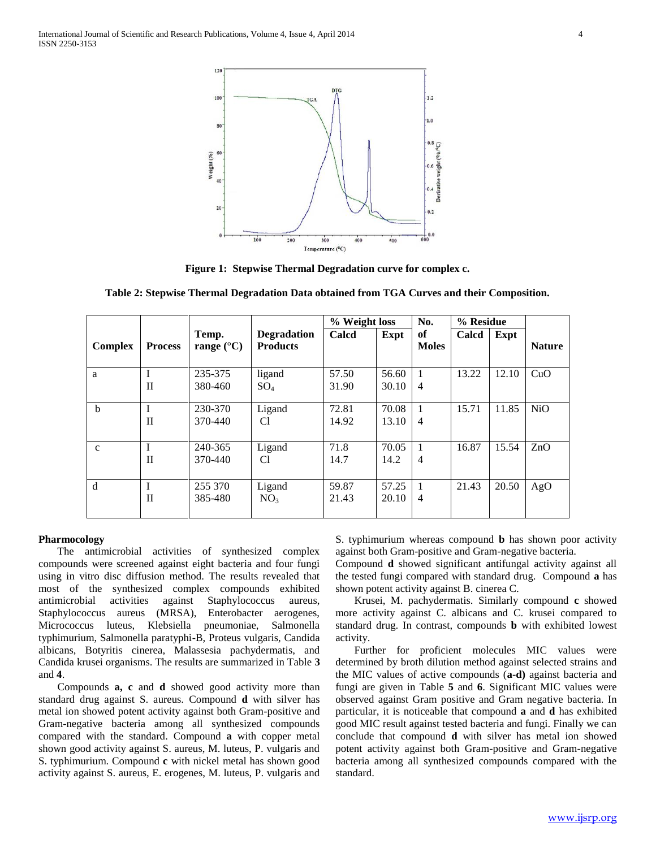

**Figure 1: Stepwise Thermal Degradation curve for complex c.**

|  |  |  |  |  | Table 2: Stepwise Thermal Degradation Data obtained from TGA Curves and their Composition. |
|--|--|--|--|--|--------------------------------------------------------------------------------------------|
|  |  |  |  |  |                                                                                            |

|                |                |                              |                                       |                | % Weight loss  |                                  | % Residue |       |               |
|----------------|----------------|------------------------------|---------------------------------------|----------------|----------------|----------------------------------|-----------|-------|---------------|
| <b>Complex</b> | <b>Process</b> | Temp.<br>range $(^{\circ}C)$ | <b>Degradation</b><br><b>Products</b> | Calcd          | Expt           | of<br><b>Moles</b>               | Calcd     | Expt  | <b>Nature</b> |
| a              | П              | 235-375<br>380-460           | ligand<br>$SO_4$                      | 57.50<br>31.90 | 56.60<br>30.10 | $\overline{4}$                   | 13.22     | 12.10 | CuO           |
| b              | $\mathbf{I}$   | 230-370<br>370-440           | Ligand<br>C1                          | 72.81<br>14.92 | 70.08<br>13.10 | $\mathbf{1}$<br>$\overline{4}$   | 15.71     | 11.85 | <b>NiO</b>    |
| $\mathbf{c}$   | $\mathbf{I}$   | 240-365<br>370-440           | Ligand<br>C1                          | 71.8<br>14.7   | 70.05<br>14.2  | $\overline{4}$                   | 16.87     | 15.54 | ZnO           |
| d              | $\mathbf{I}$   | 255 370<br>385-480           | Ligand<br>NO <sub>3</sub>             | 59.87<br>21.43 | 57.25<br>20.10 | $\overline{1}$<br>$\overline{4}$ | 21.43     | 20.50 | AgO           |

#### **Pharmocology**

 The antimicrobial activities of synthesized complex compounds were screened against eight bacteria and four fungi using in vitro disc diffusion method. The results revealed that most of the synthesized complex compounds exhibited antimicrobial activities against Staphylococcus aureus, Staphylococcus aureus (MRSA), Enterobacter aerogenes, Micrococcus luteus, Klebsiella pneumoniae, Salmonella typhimurium, Salmonella paratyphi-B, Proteus vulgaris, Candida albicans, Botyritis cinerea, Malassesia pachydermatis, and Candida krusei organisms. The results are summarized in Table **3**  and **4**.

 Compounds **a, c** and **d** showed good activity more than standard drug against S. aureus. Compound **d** with silver has metal ion showed potent activity against both Gram-positive and Gram-negative bacteria among all synthesized compounds compared with the standard. Compound **a** with copper metal shown good activity against S. aureus, M. luteus, P. vulgaris and S. typhimurium. Compound **c** with nickel metal has shown good activity against S. aureus, E. erogenes, M. luteus, P. vulgaris and

S. typhimurium whereas compound **b** has shown poor activity against both Gram-positive and Gram-negative bacteria.

Compound **d** showed significant antifungal activity against all the tested fungi compared with standard drug. Compound **a** has shown potent activity against B. cinerea C.

 Krusei, M. pachydermatis. Similarly compound **c** showed more activity against C. albicans and C. krusei compared to standard drug. In contrast, compounds **b** with exhibited lowest activity.

 Further for proficient molecules MIC values were determined by broth dilution method against selected strains and the MIC values of active compounds (**a-d)** against bacteria and fungi are given in Table **5** and **6**. Significant MIC values were observed against Gram positive and Gram negative bacteria. In particular, it is noticeable that compound **a** and **d** has exhibited good MIC result against tested bacteria and fungi. Finally we can conclude that compound **d** with silver has metal ion showed potent activity against both Gram-positive and Gram-negative bacteria among all synthesized compounds compared with the standard.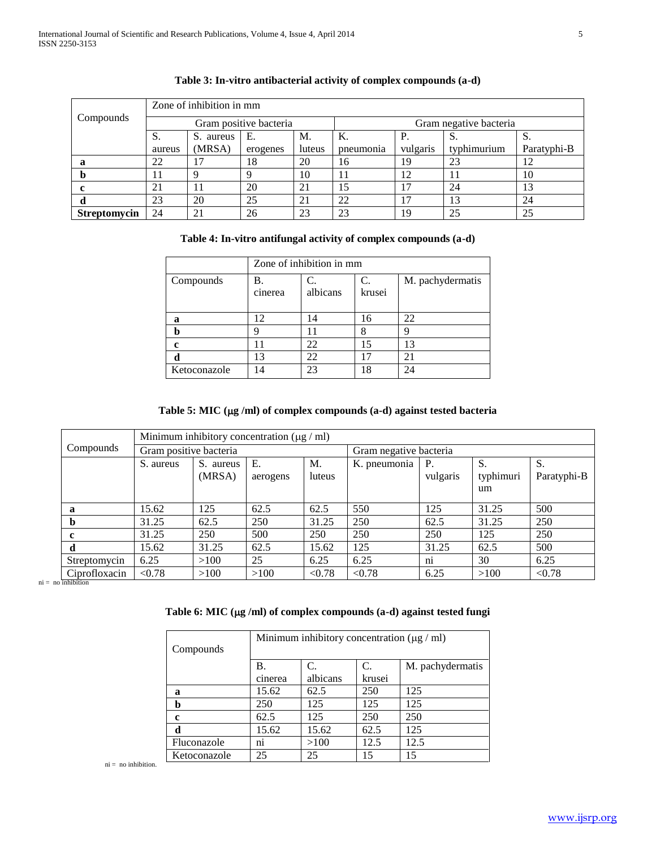|              | Zone of inhibition in mm |              |                        |        |                        |          |             |             |  |  |  |
|--------------|--------------------------|--------------|------------------------|--------|------------------------|----------|-------------|-------------|--|--|--|
| Compounds    |                          |              | Gram positive bacteria |        | Gram negative bacteria |          |             |             |  |  |  |
|              | S.                       | S.<br>aureus | Е.                     | M.     | Κ.                     | P.       | C.          | S.          |  |  |  |
|              | aureus                   | (MRSA)       | erogenes               | luteus | pneumonia              | vulgaris | typhimurium | Paratyphi-B |  |  |  |
| а            | 22                       | 17           | 18                     | 20     | 16                     | 19       | 23          | 12          |  |  |  |
|              | 11                       | Q            | Q                      | 10     | 11                     | 12       | 11          | 10          |  |  |  |
|              | 21                       | 11           | 20                     | 21     | 15                     | 17       | 24          | 13          |  |  |  |
| α            | 23                       | 20           | 25                     | 21     | 22                     | 17       | 13          | 24          |  |  |  |
| Streptomycin | 24                       | 21           | 26                     | 23     | 23                     | 19       | 25          | 25          |  |  |  |

# **Table 3: In-vitro antibacterial activity of complex compounds (a-d)**

# **Table 4: In-vitro antifungal activity of complex compounds (a-d)**

|              | Zone of inhibition in mm |                |              |                  |  |  |  |  |
|--------------|--------------------------|----------------|--------------|------------------|--|--|--|--|
| Compounds    | Β.<br>cinerea            | C.<br>albicans | C.<br>krusei | M. pachydermatis |  |  |  |  |
| a            | 12                       | 14             | 16           | 22               |  |  |  |  |
| b            |                          |                |              |                  |  |  |  |  |
| c            |                          | 22             | 15           | 13               |  |  |  |  |
| d            | 13                       | 22             | 17           | 21               |  |  |  |  |
| Ketoconazole | 14                       | 23             | 18           | 24               |  |  |  |  |

# **Table 5: MIC (g /ml) of complex compounds (a-d) against tested bacteria**

|               | Minimum inhibitory concentration $(\mu g / ml)$ |           |          |        |                        |           |           |             |  |  |
|---------------|-------------------------------------------------|-----------|----------|--------|------------------------|-----------|-----------|-------------|--|--|
| Compounds     | Gram positive bacteria                          |           |          |        | Gram negative bacteria |           |           |             |  |  |
|               | S. aureus                                       | S. aureus | Ε.       | M.     | K. pneumonia           | <b>P.</b> | S.        |             |  |  |
|               |                                                 | (MRSA)    | aerogens | luteus |                        | vulgaris  | typhimuri | Paratyphi-B |  |  |
|               |                                                 |           |          |        |                        |           | um        |             |  |  |
| a             | 15.62                                           | 125       | 62.5     | 62.5   | 550                    | 125       | 31.25     | 500         |  |  |
| b             | 31.25                                           | 62.5      | 250      | 31.25  | 250                    | 62.5      | 31.25     | 250         |  |  |
| c             | 31.25                                           | 250       | 500      | 250    | 250                    | 250       | 125       | 250         |  |  |
| d             | 15.62                                           | 31.25     | 62.5     | 15.62  | 125                    | 31.25     | 62.5      | 500         |  |  |
| Streptomycin  | 6.25                                            | >100      | 25       | 6.25   | 6.25                   | ni        | 30        | 6.25        |  |  |
| Ciprofloxacin | < 0.78                                          | >100      | >100     | < 0.78 | < 0.78                 | 6.25      | >100      | < 0.78      |  |  |

 $ni = no$  inhibition

# **Table 6: MIC (g /ml) of complex compounds (a-d) against tested fungi**

| Compounds    | Minimum inhibitory concentration $(\mu g / \text{ml})$ |          |        |                  |  |  |  |  |  |
|--------------|--------------------------------------------------------|----------|--------|------------------|--|--|--|--|--|
|              | B.                                                     | C.       | C.     | M. pachydermatis |  |  |  |  |  |
|              | cinerea                                                | albicans | krusei |                  |  |  |  |  |  |
| a            | 15.62                                                  | 62.5     | 250    | 125              |  |  |  |  |  |
| b            | 250                                                    | 125      | 125    | 125              |  |  |  |  |  |
| c            | 62.5                                                   | 125      | 250    | 250              |  |  |  |  |  |
| d            | 15.62                                                  | 15.62    | 62.5   | 125              |  |  |  |  |  |
| Fluconazole  | n <sub>1</sub>                                         | >100     | 12.5   | 12.5             |  |  |  |  |  |
| Ketoconazole | 25                                                     | 25       | 15     | 15               |  |  |  |  |  |

ni = no inhibition.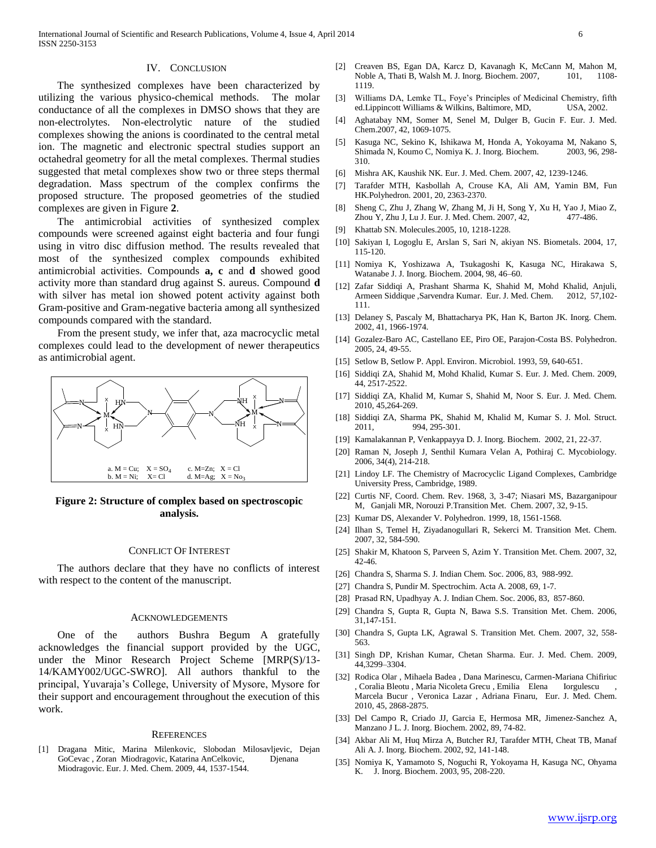## IV. CONCLUSION

The synthesized complexes have been characterized by utilizing the various physico-chemical methods. The molar conductance of all the complexes in DMSO shows that they are non-electrolytes. Non-electrolytic nature of the studied complexes showing the anions is coordinated to the central metal ion. The magnetic and electronic spectral studies support an octahedral geometry for all the metal complexes. Thermal studies suggested that metal complexes show two or three steps thermal degradation. Mass spectrum of the complex confirms the proposed structure. The proposed geometries of the studied complexes are given in Figure **2**.

The antimicrobial activities of synthesized complex compounds were screened against eight bacteria and four fungi using in vitro disc diffusion method. The results revealed that most of the synthesized complex compounds exhibited antimicrobial activities. Compounds **a, c** and **d** showed good activity more than standard drug against S. aureus. Compound **d** with silver has metal ion showed potent activity against both Gram-positive and Gram-negative bacteria among all synthesized compounds compared with the standard.

From the present study, we infer that, aza macrocyclic metal complexes could lead to the development of newer therapeutics as antimicrobial agent.



## **Figure 2: Structure of complex based on spectroscopic analysis.**

#### CONFLICT OF INTEREST

The authors declare that they have no conflicts of interest with respect to the content of the manuscript.

#### ACKNOWLEDGEMENTS

One of the authors Bushra Begum A gratefully acknowledges the financial support provided by the UGC, under the Minor Research Project Scheme [MRP(S)/13- 14/KAMY002/UGC-SWRO]. All authors thankful to the principal, Yuvaraja's College, University of Mysore, Mysore for their support and encouragement throughout the execution of this work.

#### **REFERENCES**

[1] Dragana Mitic, Marina Milenkovic, Slobodan Milosavljevic, Dejan GoCevac , Zoran Miodragovic, Katarina AnCelkovic, Djenana Miodragovic. Eur. J. Med. Chem. 2009, 44, 1537-1544.

- [2] Creaven BS, Egan DA, Karcz D, Kavanagh K, McCann M, Mahon M, Noble A, Thati B, Walsh M. J. Inorg. Biochem. 2007, 101, 1108-1119.
- [3] Williams DA, Lemke TL, Foye's Principles of Medicinal Chemistry, fifth ed.Lippincott Williams & Wilkins, Baltimore, MD, USA, 2002.
- [4] Aghatabay NM, Somer M, Senel M, Dulger B, Gucin F. Eur. J. Med. Chem.2007, 42, 1069-1075.
- [5] Kasuga NC, Sekino K, Ishikawa M, Honda A, Yokoyama M, Nakano S, Shimada N, Koumo C, Nomiya K. J. Inorg. Biochem. 2003, 96, 298- 310.
- [6] Mishra AK, Kaushik NK. Eur. J. Med. Chem. 2007, 42, 1239-1246.
- [7] Tarafder MTH, Kasbollah A, Crouse KA, Ali AM, Yamin BM, Fun HK.Polyhedron. 2001, 20, 2363-2370.
- [8] Sheng C, Zhu J, Zhang W, Zhang M, Ji H, Song Y, Xu H, Yao J, Miao Z, Zhou Y, Zhu J, Lu J. Eur. J. Med. Chem. 2007, 42, 477-486.
- [9] Khattab SN. Molecules.2005, 10, 1218-1228.
- [10] Sakiyan I, Logoglu E, Arslan S, Sari N, akiyan NS. Biometals. 2004, 17, 115-120.
- [11] Nomiya K, Yoshizawa A, Tsukagoshi K, Kasuga NC, Hirakawa S, Watanabe J. J. Inorg. Biochem. 2004, 98, 46–60.
- [12] Zafar Siddiqi A, Prashant Sharma K, Shahid M, Mohd Khalid, Anjuli, Armeen Siddique ,Sarvendra Kumar. Eur. J. Med. Chem. 2012, 57,102- 111.
- [13] Delaney S, Pascaly M, Bhattacharya PK, Han K, Barton JK. Inorg. Chem. 2002, 41, 1966-1974.
- [14] Gozalez-Baro AC, Castellano EE, Piro OE, Parajon-Costa BS. Polyhedron. 2005, 24, 49-55.
- [15] Setlow B, Setlow P. Appl. Environ. Microbiol. 1993, 59, 640-651.
- [16] Siddiqi ZA, Shahid M, Mohd Khalid, Kumar S. Eur. J. Med. Chem. 2009, 44, 2517-2522.
- [17] Siddiqi ZA, Khalid M, Kumar S, Shahid M, Noor S. Eur. J. Med. Chem. 2010, 45,264-269.
- [18] Siddiqi ZA, Sharma PK, Shahid M, Khalid M, Kumar S. J. Mol. Struct. 2011, 994, 295-301.
- [19] Kamalakannan P, Venkappayya D. J. Inorg. Biochem. 2002, 21, 22-37.
- [20] Raman N, Joseph J, Senthil Kumara Velan A, Pothiraj C. Mycobiology. 2006, 34(4), 214-218.
- [21] Lindoy LF. The Chemistry of Macrocyclic Ligand Complexes, Cambridge University Press, Cambridge, 1989.
- [22] Curtis NF, Coord. Chem. Rev. 1968, 3, 3-47; Niasari MS, Bazarganipour M, Ganjali MR, Norouzi P.Transition Met. Chem. 2007, 32, 9-15.
- [23] Kumar DS, Alexander V. Polyhedron. 1999, 18, 1561-1568.
- [24] Ilhan S, Temel H, Ziyadanogullari R, Sekerci M. Transition Met. Chem. 2007, 32, 584-590.
- [25] Shakir M, Khatoon S, Parveen S, Azim Y. Transition Met. Chem. 2007, 32, 42-46.
- [26] Chandra S, Sharma S. J. Indian Chem. Soc. 2006, 83, 988-992.
- [27] Chandra S, Pundir M. Spectrochim. Acta A. 2008, 69, 1-7.
- [28] Prasad RN, Upadhyay A. J. Indian Chem. Soc. 2006, 83, 857-860.
- [29] Chandra S, Gupta R, Gupta N, Bawa S.S. Transition Met. Chem. 2006, 31,147-151.
- [30] Chandra S, Gupta LK, Agrawal S. Transition Met. Chem. 2007, 32, 558- 563.
- [31] Singh DP, Krishan Kumar, Chetan Sharma. Eur. J. Med. Chem. 2009, 44,3299–3304.
- [32] Rodica Olar , Mihaela Badea , Dana Marinescu, Carmen-Mariana Chifiriuc , Coralia Bleotu , Maria Nicoleta Grecu , Emilia Elena Iorgulescu Marcela Bucur , Veronica Lazar , Adriana Finaru, Eur. J. Med. Chem. 2010, 45, 2868-2875.
- [33] Del Campo R, Criado JJ, Garcia E, Hermosa MR, Jimenez-Sanchez A, Manzano J L. J. Inorg. Biochem. 2002, 89, 74-82.
- [34] Akbar Ali M, Huq Mirza A, Butcher RJ, Tarafder MTH, Cheat TB, Manaf Ali A. J. Inorg. Biochem. 2002, 92, 141-148.
- [35] Nomiya K, Yamamoto S, Noguchi R, Yokoyama H, Kasuga NC, Ohyama K. J. Inorg. Biochem. 2003, 95, 208-220.